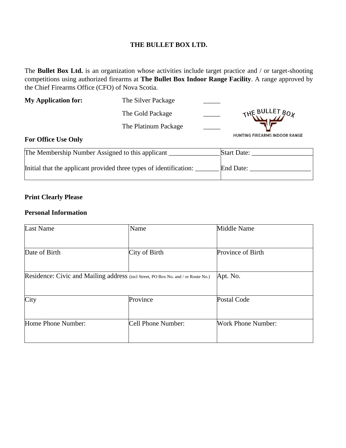#### **THE BULLET BOX LTD.**

The **Bullet Box Ltd.** is an organization whose activities include target practice and / or target-shooting competitions using authorized firearms at **The Bullet Box Indoor Range Facility**. A range approved by the Chief Firearms Office (CFO) of Nova Scotia.

| <b>My Application for:</b>                       | The Silver Package   |                                      |
|--------------------------------------------------|----------------------|--------------------------------------|
|                                                  | The Gold Package     | THE BULLET BOX                       |
|                                                  | The Platinum Package |                                      |
| <b>For Office Use Only</b>                       |                      | <b>HUNTING FIREARMS INDOOR RANGE</b> |
| The Membership Number Assigned to this applicant |                      | <b>Start Date:</b>                   |

| The Membership Number Assigned to this applicant                   | Diali Dale. |
|--------------------------------------------------------------------|-------------|
| Initial that the applicant provided three types of identification: | End Date:   |

# **Print Clearly Please**

#### **Personal Information**

| Last Name                                                                         | Name               | Middle Name        |
|-----------------------------------------------------------------------------------|--------------------|--------------------|
|                                                                                   |                    |                    |
| Date of Birth                                                                     | City of Birth      | Province of Birth  |
|                                                                                   |                    |                    |
| Residence: Civic and Mailing address (incl Street, PO Box No. and / or Route No.) |                    | Apt. No.           |
|                                                                                   |                    |                    |
| City                                                                              | Province           | <b>Postal Code</b> |
|                                                                                   |                    |                    |
| Home Phone Number:                                                                | Cell Phone Number: | Work Phone Number: |
|                                                                                   |                    |                    |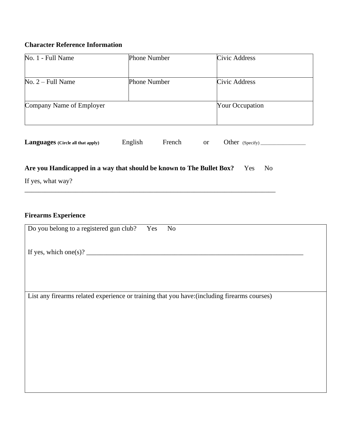# **Character Reference Information**

| No. 1 - Full Name        | <b>Phone Number</b> | Civic Address          |
|--------------------------|---------------------|------------------------|
|                          |                     |                        |
| $No. 2 - Full Name$      | <b>Phone Number</b> | Civic Address          |
|                          |                     |                        |
| Company Name of Employer |                     | <b>Your Occupation</b> |
|                          |                     |                        |

| <b>Languages</b> (Circle all that apply) | English | French |  | Other $(Specify)$ |  |
|------------------------------------------|---------|--------|--|-------------------|--|
|------------------------------------------|---------|--------|--|-------------------|--|

# Are you Handicapped in a way that should be known to The Bullet Box? Yes No

\_\_\_\_\_\_\_\_\_\_\_\_\_\_\_\_\_\_\_\_\_\_\_\_\_\_\_\_\_\_\_\_\_\_\_\_\_\_\_\_\_\_\_\_\_\_\_\_\_\_\_\_\_\_\_\_\_\_\_\_\_\_\_\_\_\_\_\_\_\_\_\_\_\_

If yes, what way?

# **Firearms Experience**

| Do you belong to a registered gun club? Yes<br>N <sub>o</sub>                                |
|----------------------------------------------------------------------------------------------|
| If yes, which one(s)? $\frac{1}{\sqrt{1-\frac{1}{2}} \cdot \frac{1}{\sqrt{1-\frac{1}{2}}}}$  |
|                                                                                              |
| List any firearms related experience or training that you have: (including firearms courses) |
|                                                                                              |
|                                                                                              |
|                                                                                              |
|                                                                                              |
|                                                                                              |